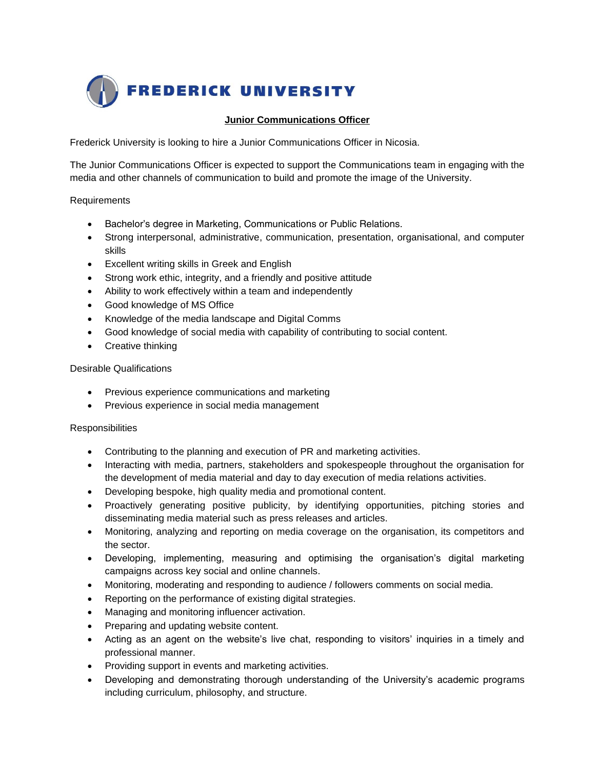

## **Junior Communications Officer**

Frederick University is looking to hire a Junior Communications Officer in Nicosia.

The Junior Communications Officer is expected to support the Communications team in engaging with the media and other channels of communication to build and promote the image of the University.

## Requirements

- Bachelor's degree in Marketing, Communications or Public Relations.
- Strong interpersonal, administrative, communication, presentation, organisational, and computer skills
- Excellent writing skills in Greek and English
- Strong work ethic, integrity, and a friendly and positive attitude
- Ability to work effectively within a team and independently
- Good knowledge of MS Office
- Knowledge of the media landscape and Digital Comms
- Good knowledge of social media with capability of contributing to social content.
- Creative thinking

## Desirable Qualifications

- Previous experience communications and marketing
- Previous experience in social media management

## **Responsibilities**

- Contributing to the planning and execution of PR and marketing activities.
- Interacting with media, partners, stakeholders and spokespeople throughout the organisation for the development of media material and day to day execution of media relations activities.
- Developing bespoke, high quality media and promotional content.
- Proactively generating positive publicity, by identifying opportunities, pitching stories and disseminating media material such as press releases and articles.
- Monitoring, analyzing and reporting on media coverage on the organisation, its competitors and the sector.
- Developing, implementing, measuring and optimising the organisation's digital marketing campaigns across key social and online channels.
- Monitoring, moderating and responding to audience / followers comments on social media.
- Reporting on the performance of existing digital strategies.
- Managing and monitoring influencer activation.
- Preparing and updating website content.
- Acting as an agent on the website's live chat, responding to visitors' inquiries in a timely and professional manner.
- Providing support in events and marketing activities.
- Developing and demonstrating thorough understanding of the University's academic programs including curriculum, philosophy, and structure.